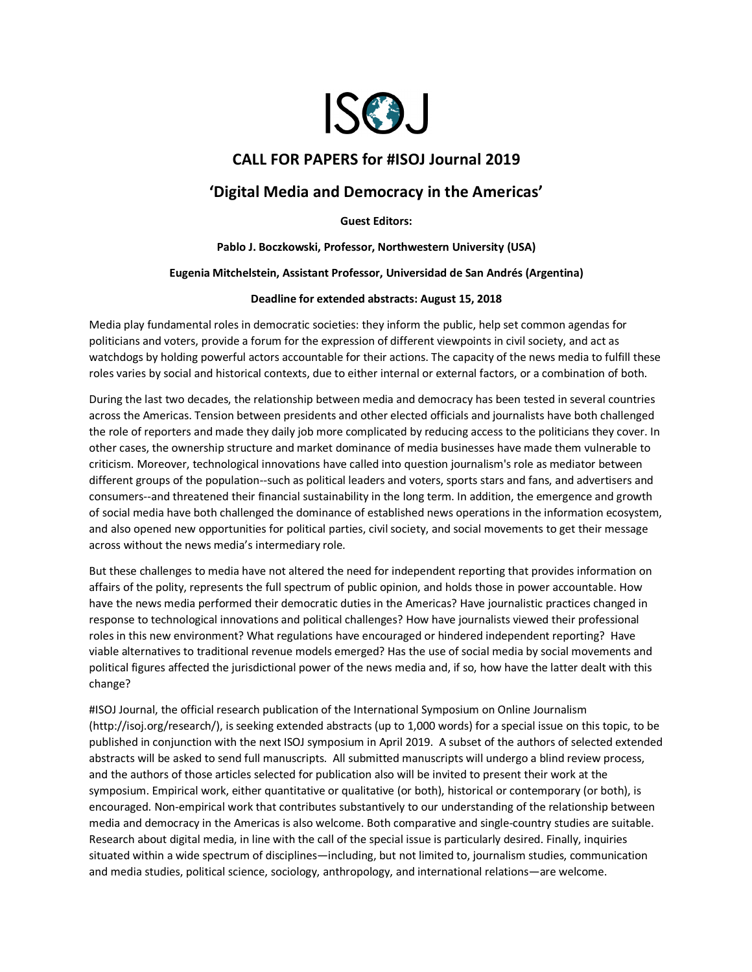

## **CALL FOR PAPERS for #ISOJ Journal 2019**

# **'Digital Media and Democracy in the Americas'**

**Guest Editors:**

**Pablo J. Boczkowski, Professor, Northwestern University (USA)**

#### **Eugenia Mitchelstein, Assistant Professor, Universidad de San Andrés (Argentina)**

#### **Deadline for extended abstracts: August 15, 2018**

Media play fundamental roles in democratic societies: they inform the public, help set common agendas for politicians and voters, provide a forum for the expression of different viewpoints in civil society, and act as watchdogs by holding powerful actors accountable for their actions. The capacity of the news media to fulfill these roles varies by social and historical contexts, due to either internal or external factors, or a combination of both.

During the last two decades, the relationship between media and democracy has been tested in several countries across the Americas. Tension between presidents and other elected officials and journalists have both challenged the role of reporters and made they daily job more complicated by reducing access to the politicians they cover. In other cases, the ownership structure and market dominance of media businesses have made them vulnerable to criticism. Moreover, technological innovations have called into question journalism's role as mediator between different groups of the population--such as political leaders and voters, sports stars and fans, and advertisers and consumers--and threatened their financial sustainability in the long term. In addition, the emergence and growth of social media have both challenged the dominance of established news operations in the information ecosystem, and also opened new opportunities for political parties, civil society, and social movements to get their message across without the news media's intermediary role.

But these challenges to media have not altered the need for independent reporting that provides information on affairs of the polity, represents the full spectrum of public opinion, and holds those in power accountable. How have the news media performed their democratic duties in the Americas? Have journalistic practices changed in response to technological innovations and political challenges? How have journalists viewed their professional roles in this new environment? What regulations have encouraged or hindered independent reporting? Have viable alternatives to traditional revenue models emerged? Has the use of social media by social movements and political figures affected the jurisdictional power of the news media and, if so, how have the latter dealt with this change?

#ISOJ Journal, the official research publication of the International Symposium on Online Journalism (http://isoj.org/research/), is seeking extended abstracts (up to 1,000 words) for a special issue on this topic, to be published in conjunction with the next ISOJ symposium in April 2019. A subset of the authors of selected extended abstracts will be asked to send full manuscripts. All submitted manuscripts will undergo a blind review process, and the authors of those articles selected for publication also will be invited to present their work at the symposium. Empirical work, either quantitative or qualitative (or both), historical or contemporary (or both), is encouraged. Non-empirical work that contributes substantively to our understanding of the relationship between media and democracy in the Americas is also welcome. Both comparative and single-country studies are suitable. Research about digital media, in line with the call of the special issue is particularly desired. Finally, inquiries situated within a wide spectrum of disciplines—including, but not limited to, journalism studies, communication and media studies, political science, sociology, anthropology, and international relations—are welcome.